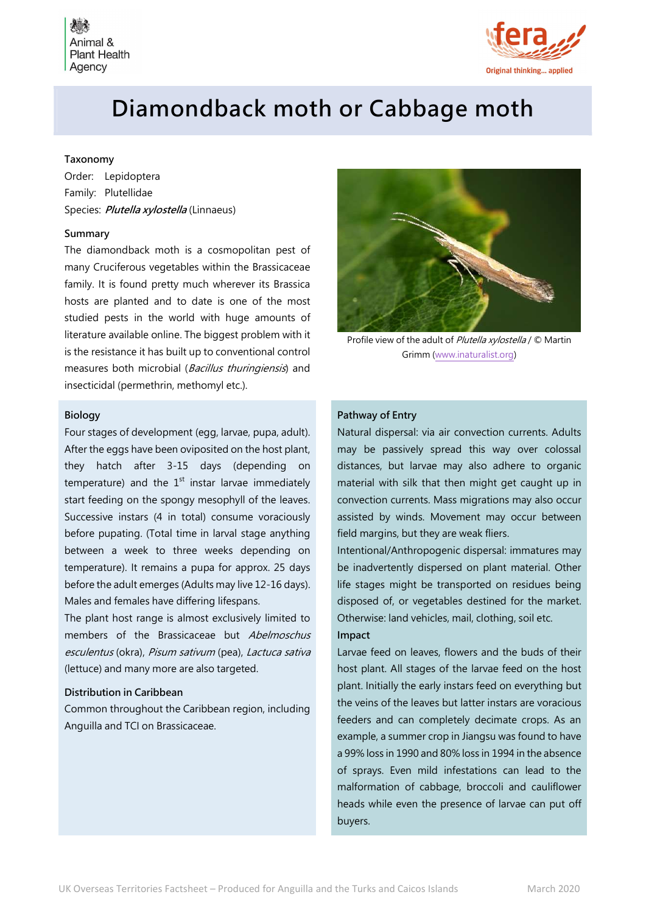



# Diamondback moth or Cabbage moth

## Taxonomy

Order: Lepidoptera Family: Plutellidae Species: *Plutella xylostella* (Linnaeus)

#### Summary

The diamondback moth is a cosmopolitan pest of many Cruciferous vegetables within the Brassicaceae family. It is found pretty much wherever its Brassica hosts are planted and to date is one of the most studied pests in the world with huge amounts of literature available online. The biggest problem with it is the resistance it has built up to conventional control measures both microbial (*Bacillus thuringiensis*) and insecticidal (permethrin, methomyl etc.).

#### Biology

Four stages of development (egg, larvae, pupa, adult). After the eggs have been oviposited on the host plant, they hatch after 3-15 days (depending on temperature) and the  $1<sup>st</sup>$  instar larvae immediately start feeding on the spongy mesophyll of the leaves. Successive instars (4 in total) consume voraciously before pupating. (Total time in larval stage anything between a week to three weeks depending on temperature). It remains a pupa for approx. 25 days before the adult emerges (Adults may live 12-16 days). Males and females have differing lifespans.

The plant host range is almost exclusively limited to members of the Brassicaceae but Abelmoschus esculentus (okra), Pisum sativum (pea), Lactuca sativa (lettuce) and many more are also targeted.

## Distribution in Caribbean

Common throughout the Caribbean region, including Anguilla and TCI on Brassicaceae.



Profile view of the adult of *Plutella xylostella* / © Martin Grimm (www.inaturalist.org)

# Pathway of Entry

Natural dispersal: via air convection currents. Adults may be passively spread this way over colossal distances, but larvae may also adhere to organic material with silk that then might get caught up in convection currents. Mass migrations may also occur assisted by winds. Movement may occur between field margins, but they are weak fliers.

Intentional/Anthropogenic dispersal: immatures may be inadvertently dispersed on plant material. Other life stages might be transported on residues being disposed of, or vegetables destined for the market. Otherwise: land vehicles, mail, clothing, soil etc.

### Impact

Larvae feed on leaves, flowers and the buds of their host plant. All stages of the larvae feed on the host plant. Initially the early instars feed on everything but the veins of the leaves but latter instars are voracious feeders and can completely decimate crops. As an example, a summer crop in Jiangsu was found to have a 99% loss in 1990 and 80% loss in 1994 in the absence of sprays. Even mild infestations can lead to the malformation of cabbage, broccoli and cauliflower heads while even the presence of larvae can put off buyers.